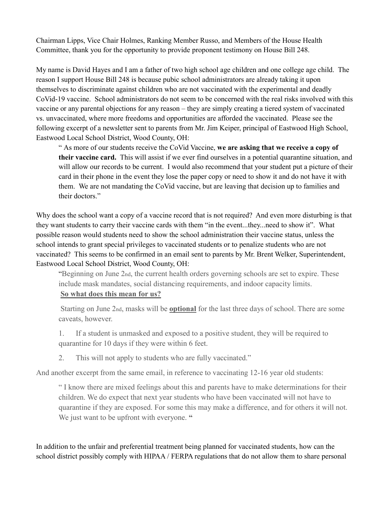Chairman Lipps, Vice Chair Holmes, Ranking Member Russo, and Members of the House Health Committee, thank you for the opportunity to provide proponent testimony on House Bill 248.

My name is David Hayes and I am a father of two high school age children and one college age child. The reason I support House Bill 248 is because pubic school administrators are already taking it upon themselves to discriminate against children who are not vaccinated with the experimental and deadly CoVid-19 vaccine. School administrators do not seem to be concerned with the real risks involved with this vaccine or any parental objections for any reason – they are simply creating a tiered system of vaccinated vs. unvaccinated, where more freedoms and opportunities are afforded the vaccinated. Please see the following excerpt of a newsletter sent to parents from Mr. Jim Keiper, principal of Eastwood High School, Eastwood Local School District, Wood County, OH:

" As more of our students receive the CoVid Vaccine, **we are asking that we receive a copy of their vaccine card.** This will assist if we ever find ourselves in a potential quarantine situation, and will allow our records to be current. I would also recommend that your student put a picture of their card in their phone in the event they lose the paper copy or need to show it and do not have it with them. We are not mandating the CoVid vaccine, but are leaving that decision up to families and their doctors."

Why does the school want a copy of a vaccine record that is not required? And even more disturbing is that they want students to carry their vaccine cards with them "in the event...they...need to show it". What possible reason would students need to show the school administration their vaccine status, unless the school intends to grant special privileges to vaccinated students or to penalize students who are not vaccinated? This seems to be confirmed in an email sent to parents by Mr. Brent Welker, Superintendent, Eastwood Local School District, Wood County, OH:

"Beginning on June 2nd, the current health orders governing schools are set to expire. These include mask mandates, social distancing requirements, and indoor capacity limits.

## **So what does this mean for us?**

Starting on June 2nd, masks will be **optional** for the last three days of school. There are some caveats, however.

1. If a student is unmasked and exposed to a positive student, they will be required to quarantine for 10 days if they were within 6 feet.

2. This will not apply to students who are fully vaccinated."

And another excerpt from the same email, in reference to vaccinating 12-16 year old students:

" I know there are mixed feelings about this and parents have to make determinations for their children. We do expect that next year students who have been vaccinated will not have to quarantine if they are exposed. For some this may make a difference, and for others it will not. We just want to be upfront with everyone. **"**

In addition to the unfair and preferential treatment being planned for vaccinated students, how can the school district possibly comply with HIPAA / FERPA regulations that do not allow them to share personal